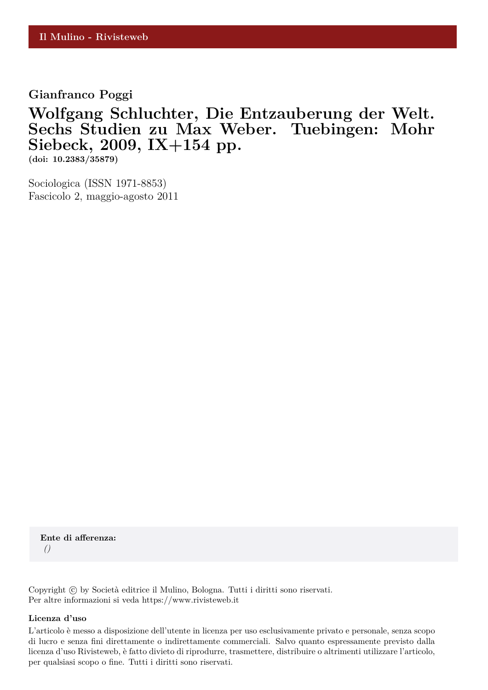**Gianfranco Poggi**

## **Wolfgang Schluchter, Die Entzauberung der Welt. Sechs Studien zu Max Weber. Tuebingen: Mohr Siebeck, 2009, IX+154 pp.**

**(doi: 10.2383/35879)**

Sociologica (ISSN 1971-8853) Fascicolo 2, maggio-agosto 2011

**Ente di afferenza:** *()*

Copyright © by Società editrice il Mulino, Bologna. Tutti i diritti sono riservati. Per altre informazioni si veda https://www.rivisteweb.it

## **Licenza d'uso**

L'articolo è messo a disposizione dell'utente in licenza per uso esclusivamente privato e personale, senza scopo di lucro e senza fini direttamente o indirettamente commerciali. Salvo quanto espressamente previsto dalla licenza d'uso Rivisteweb, è fatto divieto di riprodurre, trasmettere, distribuire o altrimenti utilizzare l'articolo, per qualsiasi scopo o fine. Tutti i diritti sono riservati.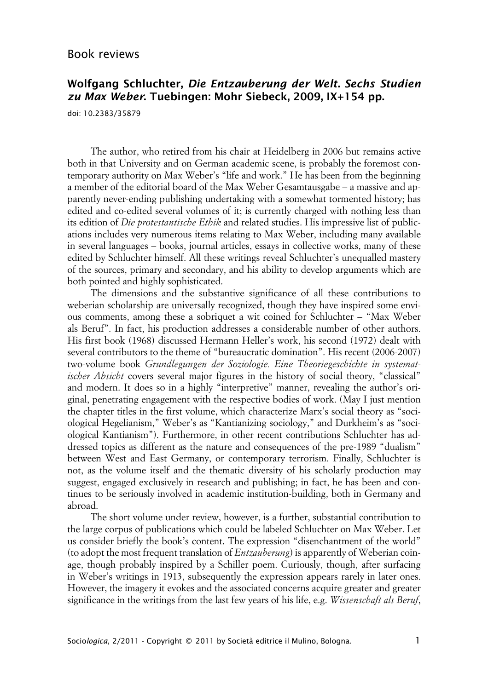## **Wolfgang Schluchter, Die Entzauberung der Welt. Sechs Studien zu Max Weber. Tuebingen: Mohr Siebeck, 2009, IX+154 pp.**

doi: 10.2383/35879

The author, who retired from his chair at Heidelberg in 2006 but remains active both in that University and on German academic scene, is probably the foremost contemporary authority on Max Weber's "life and work." He has been from the beginning a member of the editorial board of the Max Weber Gesamtausgabe – a massive and apparently never-ending publishing undertaking with a somewhat tormented history; has edited and co-edited several volumes of it; is currently charged with nothing less than its edition of *Die protestantische Ethik* and related studies. His impressive list of publications includes very numerous items relating to Max Weber, including many available in several languages – books, journal articles, essays in collective works, many of these edited by Schluchter himself. All these writings reveal Schluchter's unequalled mastery of the sources, primary and secondary, and his ability to develop arguments which are both pointed and highly sophisticated.

The dimensions and the substantive significance of all these contributions to weberian scholarship are universally recognized, though they have inspired some envious comments, among these a sobriquet a wit coined for Schluchter – "Max Weber als Beruf". In fact, his production addresses a considerable number of other authors. His first book (1968) discussed Hermann Heller's work, his second (1972) dealt with several contributors to the theme of "bureaucratic domination". His recent (2006-2007) two-volume book *Grundlegungen der Soziologie. Eine Theoriegeschichte in systematischer Absicht* covers several major figures in the history of social theory, "classical" and modern. It does so in a highly "interpretive" manner, revealing the author's original, penetrating engagement with the respective bodies of work. (May I just mention the chapter titles in the first volume, which characterize Marx's social theory as "sociological Hegelianism," Weber's as "Kantianizing sociology," and Durkheim's as "sociological Kantianism"). Furthermore, in other recent contributions Schluchter has addressed topics as different as the nature and consequences of the pre-1989 "dualism" between West and East Germany, or contemporary terrorism. Finally, Schluchter is not, as the volume itself and the thematic diversity of his scholarly production may suggest, engaged exclusively in research and publishing; in fact, he has been and continues to be seriously involved in academic institution-building, both in Germany and abroad.

The short volume under review, however, is a further, substantial contribution to the large corpus of publications which could be labeled Schluchter on Max Weber. Let us consider briefly the book's content. The expression "disenchantment of the world" (to adopt the most frequent translation of *Entzauberung*) is apparently of Weberian coinage, though probably inspired by a Schiller poem. Curiously, though, after surfacing in Weber's writings in 1913, subsequently the expression appears rarely in later ones. However, the imagery it evokes and the associated concerns acquire greater and greater significance in the writings from the last few years of his life, e.g. *Wissenschaft als Beruf*,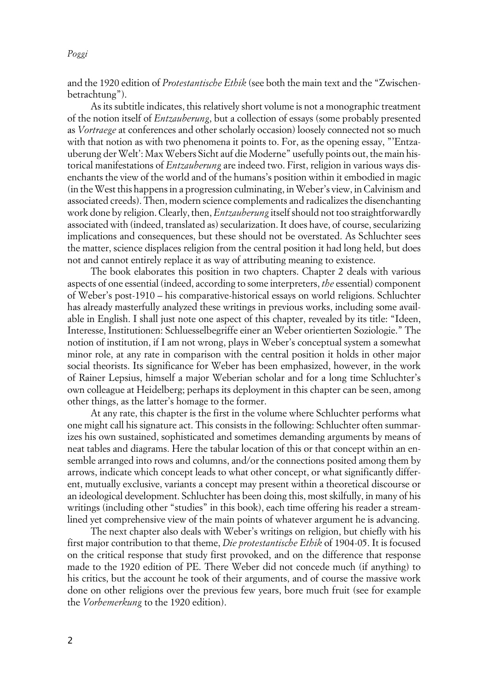*Poggi*

and the 1920 edition of *Protestantische Ethik* (see both the main text and the "Zwischenbetrachtung").

As its subtitle indicates, this relatively short volume is not a monographic treatment of the notion itself of *Entzauberung*, but a collection of essays (some probably presented as *Vortraege* at conferences and other scholarly occasion) loosely connected not so much with that notion as with two phenomena it points to. For, as the opening essay, "'Entzauberung der Welt': Max Webers Sicht auf die Moderne" usefully points out, the main historical manifestations of *Entzauberung* are indeed two. First, religion in various ways disenchants the view of the world and of the humans's position within it embodied in magic (in the West this happens in a progression culminating, in Weber's view, in Calvinism and associated creeds). Then, modern science complements and radicalizes the disenchanting work done by religion. Clearly, then, *Entzauberung* itself should not too straightforwardly associated with (indeed, translated as) secularization. It does have, of course, secularizing implications and consequences, but these should not be overstated. As Schluchter sees the matter, science displaces religion from the central position it had long held, but does not and cannot entirely replace it as way of attributing meaning to existence.

The book elaborates this position in two chapters. Chapter 2 deals with various aspects of one essential (indeed, according to some interpreters, *the* essential) component of Weber's post-1910 – his comparative-historical essays on world religions. Schluchter has already masterfully analyzed these writings in previous works, including some available in English. I shall just note one aspect of this chapter, revealed by its title: "Ideen, Interesse, Institutionen: Schluesselbegriffe einer an Weber orientierten Soziologie." The notion of institution, if I am not wrong, plays in Weber's conceptual system a somewhat minor role, at any rate in comparison with the central position it holds in other major social theorists. Its significance for Weber has been emphasized, however, in the work of Rainer Lepsius, himself a major Weberian scholar and for a long time Schluchter's own colleague at Heidelberg; perhaps its deployment in this chapter can be seen, among other things, as the latter's homage to the former.

At any rate, this chapter is the first in the volume where Schluchter performs what one might call his signature act. This consists in the following: Schluchter often summarizes his own sustained, sophisticated and sometimes demanding arguments by means of neat tables and diagrams. Here the tabular location of this or that concept within an ensemble arranged into rows and columns, and/or the connections posited among them by arrows, indicate which concept leads to what other concept, or what significantly different, mutually exclusive, variants a concept may present within a theoretical discourse or an ideological development. Schluchter has been doing this, most skilfully, in many of his writings (including other "studies" in this book), each time offering his reader a streamlined yet comprehensive view of the main points of whatever argument he is advancing.

The next chapter also deals with Weber's writings on religion, but chiefly with his first major contribution to that theme, *Die protestantische Ethik* of 1904-05. It is focused on the critical response that study first provoked, and on the difference that response made to the 1920 edition of PE. There Weber did not concede much (if anything) to his critics, but the account he took of their arguments, and of course the massive work done on other religions over the previous few years, bore much fruit (see for example the *Vorbemerkung* to the 1920 edition).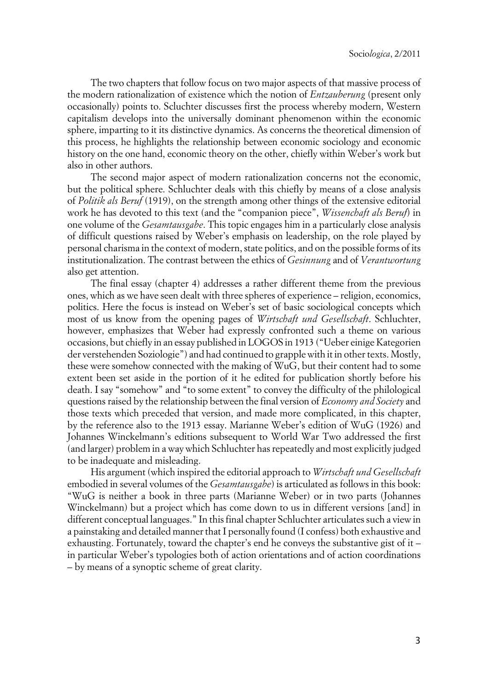The two chapters that follow focus on two major aspects of that massive process of the modern rationalization of existence which the notion of *Entzauberung* (present only occasionally) points to. Scluchter discusses first the process whereby modern, Western capitalism develops into the universally dominant phenomenon within the economic sphere, imparting to it its distinctive dynamics. As concerns the theoretical dimension of this process, he highlights the relationship between economic sociology and economic history on the one hand, economic theory on the other, chiefly within Weber's work but also in other authors.

The second major aspect of modern rationalization concerns not the economic, but the political sphere. Schluchter deals with this chiefly by means of a close analysis of *Politik als Beruf* (1919), on the strength among other things of the extensive editorial work he has devoted to this text (and the "companion piece", *Wissenchaft als Beruf*) in one volume of the *Gesamtausgabe*. This topic engages him in a particularly close analysis of difficult questions raised by Weber's emphasis on leadership, on the role played by personal charisma in the context of modern, state politics, and on the possible forms of its institutionalization. The contrast between the ethics of *Gesinnung* and of *Verantwortung* also get attention.

The final essay (chapter 4) addresses a rather different theme from the previous ones, which as we have seen dealt with three spheres of experience – religion, economics, politics. Here the focus is instead on Weber's set of basic sociological concepts which most of us know from the opening pages of *Wirtschaft und Gesellschaft*. Schluchter, however, emphasizes that Weber had expressly confronted such a theme on various occasions, but chiefly in an essay published in LOGOS in 1913 ("Ueber einige Kategorien der verstehenden Soziologie") and had continued to grapple with it in other texts. Mostly, these were somehow connected with the making of WuG, but their content had to some extent been set aside in the portion of it he edited for publication shortly before his death. I say "somehow" and "to some extent" to convey the difficulty of the philological questions raised by the relationship between the final version of *Economy and Society* and those texts which preceded that version, and made more complicated, in this chapter, by the reference also to the 1913 essay. Marianne Weber's edition of WuG (1926) and Johannes Winckelmann's editions subsequent to World War Two addressed the first (and larger) problem in a way which Schluchter has repeatedly and most explicitly judged to be inadequate and misleading.

His argument (which inspired the editorial approach to *Wirtschaft und Gesellschaft* embodied in several volumes of the *Gesamtausgabe*) is articulated as follows in this book: "WuG is neither a book in three parts (Marianne Weber) or in two parts (Johannes Winckelmann) but a project which has come down to us in different versions [and] in different conceptual languages." In this final chapter Schluchter articulates such a view in a painstaking and detailed manner that I personally found (I confess) both exhaustive and exhausting. Fortunately, toward the chapter's end he conveys the substantive gist of it – in particular Weber's typologies both of action orientations and of action coordinations – by means of a synoptic scheme of great clarity.